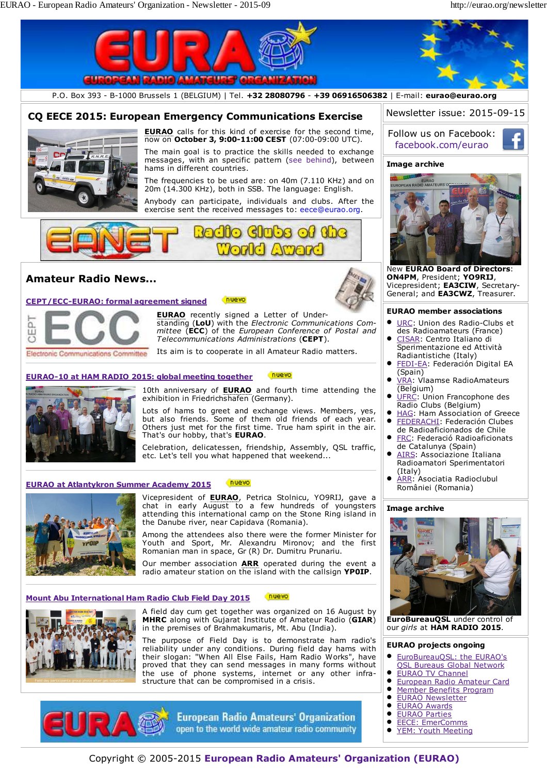